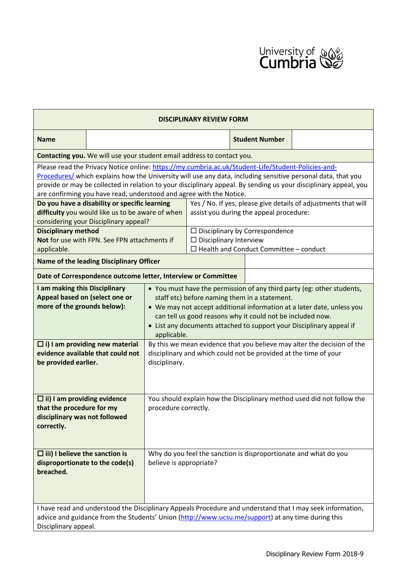

| <b>DISCIPLINARY REVIEW FORM</b>                                                                                                                                                                                                                                                                                                        |                                                                                                                                                                         |                                                                                                                                                                                                                                                                                                                                                                                                                                                                                                                        |                                                                                                           |                                                                                                                         |                       |  |  |  |
|----------------------------------------------------------------------------------------------------------------------------------------------------------------------------------------------------------------------------------------------------------------------------------------------------------------------------------------|-------------------------------------------------------------------------------------------------------------------------------------------------------------------------|------------------------------------------------------------------------------------------------------------------------------------------------------------------------------------------------------------------------------------------------------------------------------------------------------------------------------------------------------------------------------------------------------------------------------------------------------------------------------------------------------------------------|-----------------------------------------------------------------------------------------------------------|-------------------------------------------------------------------------------------------------------------------------|-----------------------|--|--|--|
| <b>Name</b>                                                                                                                                                                                                                                                                                                                            |                                                                                                                                                                         |                                                                                                                                                                                                                                                                                                                                                                                                                                                                                                                        |                                                                                                           |                                                                                                                         | <b>Student Number</b> |  |  |  |
| Contacting you. We will use your student email address to contact you.                                                                                                                                                                                                                                                                 |                                                                                                                                                                         |                                                                                                                                                                                                                                                                                                                                                                                                                                                                                                                        |                                                                                                           |                                                                                                                         |                       |  |  |  |
| Please read the Privacy Notice online: https://my.cumbria.ac.uk/Student-Life/Student-Policies-and-<br>Procedures/ which explains how the University will use any data, including sensitive personal data, that you<br>provide or may be collected in relation to your disciplinary appeal. By sending us your disciplinary appeal, you |                                                                                                                                                                         |                                                                                                                                                                                                                                                                                                                                                                                                                                                                                                                        |                                                                                                           |                                                                                                                         |                       |  |  |  |
| are confirming you have read, understood and agree with the Notice.<br>Do you have a disability or specific learning<br>difficulty you would like us to be aware of when<br>considering your Disciplinary appeal?                                                                                                                      |                                                                                                                                                                         |                                                                                                                                                                                                                                                                                                                                                                                                                                                                                                                        | Yes / No. If yes, please give details of adjustments that will<br>assist you during the appeal procedure: |                                                                                                                         |                       |  |  |  |
| <b>Disciplinary method</b><br>Not for use with FPN. See FPN attachments if<br>applicable.                                                                                                                                                                                                                                              |                                                                                                                                                                         |                                                                                                                                                                                                                                                                                                                                                                                                                                                                                                                        |                                                                                                           | $\Box$ Disciplinary by Correspondence<br>$\Box$ Disciplinary Interview<br>$\Box$ Health and Conduct Committee - conduct |                       |  |  |  |
| Name of the leading Disciplinary Officer                                                                                                                                                                                                                                                                                               |                                                                                                                                                                         |                                                                                                                                                                                                                                                                                                                                                                                                                                                                                                                        |                                                                                                           |                                                                                                                         |                       |  |  |  |
| Date of Correspondence outcome letter, Interview or Committee                                                                                                                                                                                                                                                                          |                                                                                                                                                                         |                                                                                                                                                                                                                                                                                                                                                                                                                                                                                                                        |                                                                                                           |                                                                                                                         |                       |  |  |  |
| I am making this Disciplinary<br>Appeal based on (select one or<br>more of the grounds below):<br>be provided earlier.                                                                                                                                                                                                                 | $\Box$ i) I am providing new material<br>evidence available that could not                                                                                              | • You must have the permission of any third party (eg: other students,<br>staff etc) before naming them in a statement.<br>• We may not accept additional information at a later date, unless you<br>can tell us good reasons why it could not be included now.<br>• List any documents attached to support your Disciplinary appeal if<br>applicable.<br>By this we mean evidence that you believe may alter the decision of the<br>disciplinary and which could not be provided at the time of your<br>disciplinary. |                                                                                                           |                                                                                                                         |                       |  |  |  |
| $\Box$ ii) I am providing evidence<br>that the procedure for my<br>disciplinary was not followed<br>correctly.                                                                                                                                                                                                                         |                                                                                                                                                                         | You should explain how the Disciplinary method used did not follow the<br>procedure correctly.                                                                                                                                                                                                                                                                                                                                                                                                                         |                                                                                                           |                                                                                                                         |                       |  |  |  |
| breached.                                                                                                                                                                                                                                                                                                                              | $\Box$ iii) I believe the sanction is<br>Why do you feel the sanction is disproportionate and what do you<br>believe is appropriate?<br>disproportionate to the code(s) |                                                                                                                                                                                                                                                                                                                                                                                                                                                                                                                        |                                                                                                           |                                                                                                                         |                       |  |  |  |
| I have read and understood the Disciplinary Appeals Procedure and understand that I may seek information,<br>advice and guidance from the Students' Union (http://www.ucsu.me/support) at any time during this<br>Disciplinary appeal.                                                                                                 |                                                                                                                                                                         |                                                                                                                                                                                                                                                                                                                                                                                                                                                                                                                        |                                                                                                           |                                                                                                                         |                       |  |  |  |